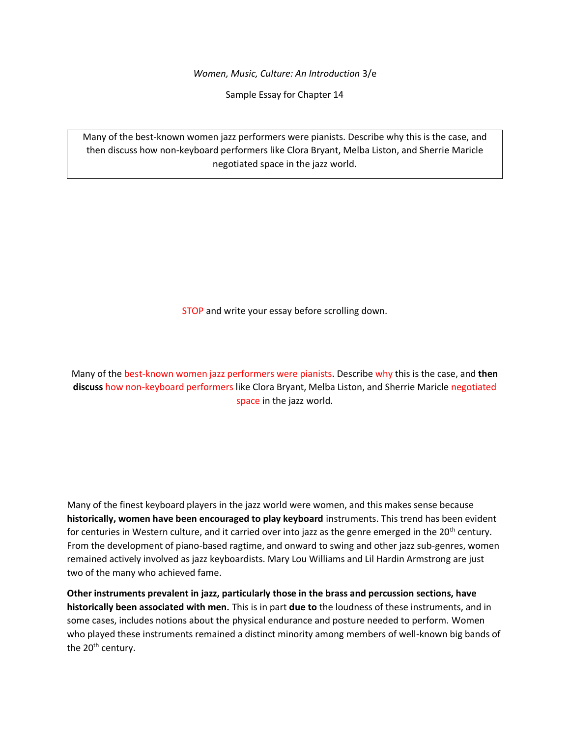*Women, Music, Culture: An Introduction* 3/e

Sample Essay for Chapter 14

Many of the best-known women jazz performers were pianists. Describe why this is the case, and then discuss how non-keyboard performers like Clora Bryant, Melba Liston, and Sherrie Maricle negotiated space in the jazz world.

STOP and write your essay before scrolling down.

Many of the best-known women jazz performers were pianists. Describe why this is the case, and **then discuss** how non-keyboard performers like Clora Bryant, Melba Liston, and Sherrie Maricle negotiated space in the jazz world.

Many of the finest keyboard players in the jazz world were women, and this makes sense because **historically, women have been encouraged to play keyboard** instruments. This trend has been evident for centuries in Western culture, and it carried over into jazz as the genre emerged in the 20<sup>th</sup> century. From the development of piano-based ragtime, and onward to swing and other jazz sub-genres, women remained actively involved as jazz keyboardists. Mary Lou Williams and Lil Hardin Armstrong are just two of the many who achieved fame.

**Other instruments prevalent in jazz, particularly those in the brass and percussion sections, have historically been associated with men.** This is in part **due to** the loudness of these instruments, and in some cases, includes notions about the physical endurance and posture needed to perform. Women who played these instruments remained a distinct minority among members of well-known big bands of the 20<sup>th</sup> century.